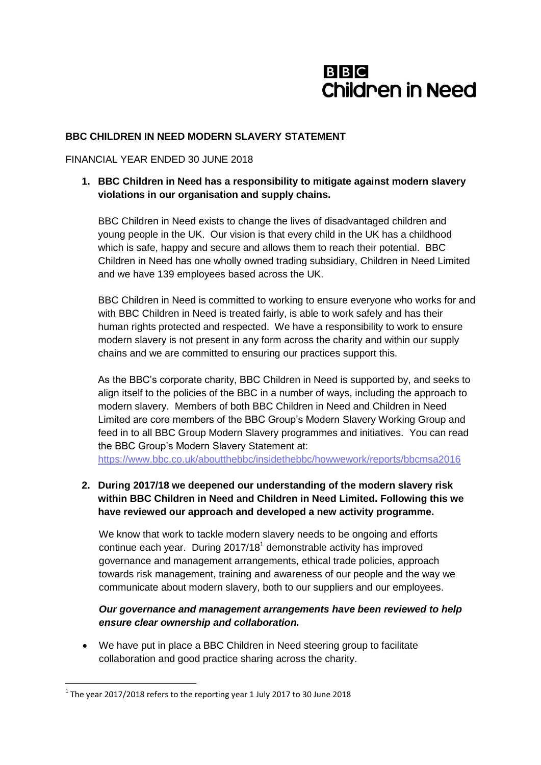# **BBC Children in Need**

#### **BBC CHILDREN IN NEED MODERN SLAVERY STATEMENT**

FINANCIAL YEAR ENDED 30 JUNE 2018

## **1. BBC Children in Need has a responsibility to mitigate against modern slavery violations in our organisation and supply chains.**

BBC Children in Need exists to change the lives of disadvantaged children and young people in the UK. Our vision is that every child in the UK has a childhood which is safe, happy and secure and allows them to reach their potential. BBC Children in Need has one wholly owned trading subsidiary, Children in Need Limited and we have 139 employees based across the UK.

BBC Children in Need is committed to working to ensure everyone who works for and with BBC Children in Need is treated fairly, is able to work safely and has their human rights protected and respected. We have a responsibility to work to ensure modern slavery is not present in any form across the charity and within our supply chains and we are committed to ensuring our practices support this.

As the BBC's corporate charity, BBC Children in Need is supported by, and seeks to align itself to the policies of the BBC in a number of ways, including the approach to modern slavery. Members of both BBC Children in Need and Children in Need Limited are core members of the BBC Group's Modern Slavery Working Group and feed in to all BBC Group Modern Slavery programmes and initiatives. You can read the BBC Group's Modern Slavery Statement at:

<https://www.bbc.co.uk/aboutthebbc/insidethebbc/howwework/reports/bbcmsa2016>

### **2. During 2017/18 we deepened our understanding of the modern slavery risk within BBC Children in Need and Children in Need Limited. Following this we have reviewed our approach and developed a new activity programme.**

We know that work to tackle modern slavery needs to be ongoing and efforts continue each year. During 2017/18 $^1$  demonstrable activity has improved governance and management arrangements, ethical trade policies, approach towards risk management, training and awareness of our people and the way we communicate about modern slavery, both to our suppliers and our employees.

### *Our governance and management arrangements have been reviewed to help ensure clear ownership and collaboration.*

 We have put in place a BBC Children in Need steering group to facilitate collaboration and good practice sharing across the charity.

**.** 

 $^1$  The year 2017/2018 refers to the reporting year 1 July 2017 to 30 June 2018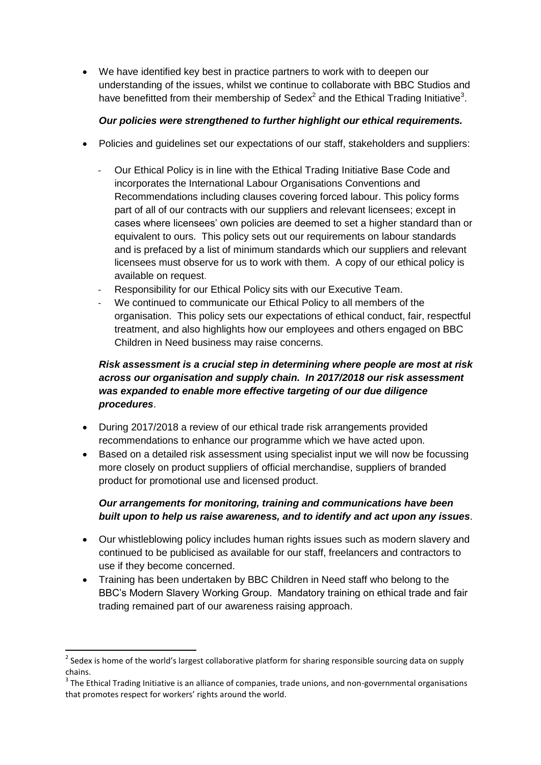We have identified key best in practice partners to work with to deepen our understanding of the issues, whilst we continue to collaborate with BBC Studios and have benefitted from their membership of Sedex<sup>2</sup> and the Ethical Trading Initiative<sup>3</sup>.

## *Our policies were strengthened to further highlight our ethical requirements.*

- Policies and guidelines set our expectations of our staff, stakeholders and suppliers:
	- Our Ethical Policy is in line with the Ethical Trading Initiative Base Code and incorporates the International Labour Organisations Conventions and Recommendations including clauses covering forced labour. This policy forms part of all of our contracts with our suppliers and relevant licensees; except in cases where licensees' own policies are deemed to set a higher standard than or equivalent to ours. This policy sets out our requirements on labour standards and is prefaced by a list of minimum standards which our suppliers and relevant licensees must observe for us to work with them. A copy of our ethical policy is available on request.
	- Responsibility for our Ethical Policy sits with our Executive Team.
	- We continued to communicate our Ethical Policy to all members of the organisation. This policy sets our expectations of ethical conduct, fair, respectful treatment, and also highlights how our employees and others engaged on BBC Children in Need business may raise concerns.

## *Risk assessment is a crucial step in determining where people are most at risk across our organisation and supply chain. In 2017/2018 our risk assessment was expanded to enable more effective targeting of our due diligence procedures*.

- During 2017/2018 a review of our ethical trade risk arrangements provided recommendations to enhance our programme which we have acted upon.
- Based on a detailed risk assessment using specialist input we will now be focussing more closely on product suppliers of official merchandise, suppliers of branded product for promotional use and licensed product.

# *Our arrangements for monitoring, training and communications have been built upon to help us raise awareness, and to identify and act upon any issues*.

- Our whistleblowing policy includes human rights issues such as modern slavery and continued to be publicised as available for our staff, freelancers and contractors to use if they become concerned.
- Training has been undertaken by BBC Children in Need staff who belong to the BBC's Modern Slavery Working Group. Mandatory training on ethical trade and fair trading remained part of our awareness raising approach.

**.** 

 $2$  Sedex is home of the world's largest collaborative platform for sharing responsible sourcing data on supply chains.

 $3$  The Ethical Trading Initiative is an alliance of companies, trade unions, and non-governmental organisations that promotes respect for workers' rights around the world.